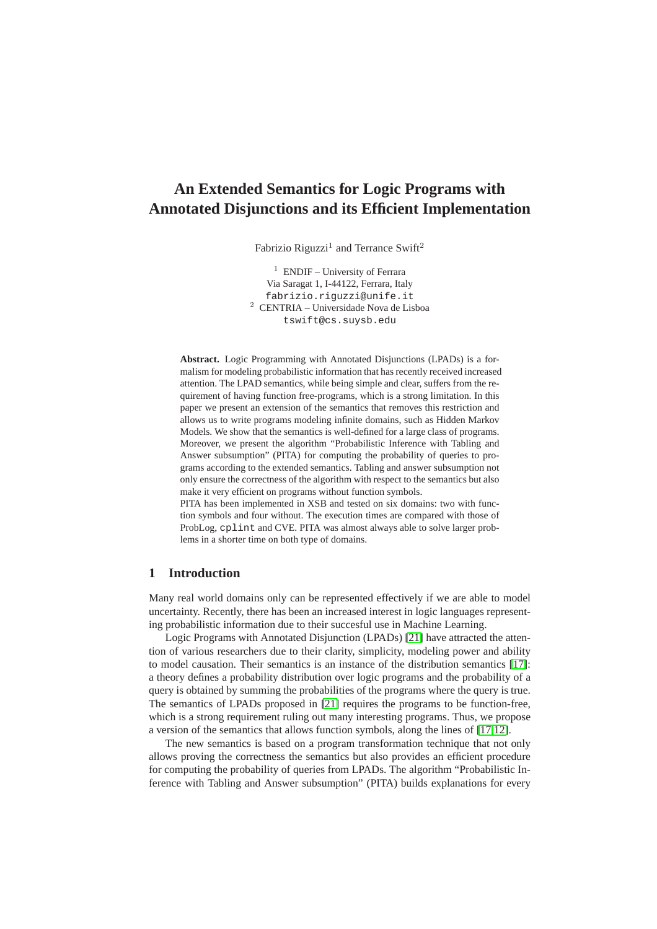# **An Extended Semantics for Logic Programs with Annotated Disjunctions and its Efficient Implementation**

Fabrizio Riguzzi<sup>1</sup> and Terrance Swift<sup>2</sup>

<sup>1</sup> ENDIF – University of Ferrara Via Saragat 1, I-44122, Ferrara, Italy fabrizio.riguzzi@unife.it <sup>2</sup> CENTRIA – Universidade Nova de Lisboa tswift@cs.suysb.edu

**Abstract.** Logic Programming with Annotated Disjunctions (LPADs) is a formalism for modeling probabilistic information that has recently received increased attention. The LPAD semantics, while being simple and clear, suffers from the requirement of having function free-programs, which is a strong limitation. In this paper we present an extension of the semantics that removes this restriction and allows us to write programs modeling infinite domains, such as Hidden Markov Models. We show that the semantics is well-defined for a large class of programs. Moreover, we present the algorithm "Probabilistic Inference with Tabling and Answer subsumption" (PITA) for computing the probability of queries to programs according to the extended semantics. Tabling and answer subsumption not only ensure the correctness of the algorithm with respect to the semantics but also make it very efficient on programs without function symbols.

PITA has been implemented in XSB and tested on six domains: two with function symbols and four without. The execution times are compared with those of ProbLog, cplint and CVE. PITA was almost always able to solve larger problems in a shorter time on both type of domains.

# **1 Introduction**

Many real world domains only can be represented effectively if we are able to model uncertainty. Recently, there has been an increased interest in logic languages representing probabilistic information due to their succesful use in Machine Learning.

Logic Programs with Annotated Disjunction (LPADs) [\[21\]](#page-14-0) have attracted the attention of various researchers due to their clarity, simplicity, modeling power and ability to model causation. Their semantics is an instance of the distribution semantics [\[17\]](#page-14-1): a theory defines a probability distribution over logic programs and the probability of a query is obtained by summing the probabilities of the programs where the query is true. The semantics of LPADs proposed in [\[21\]](#page-14-0) requires the programs to be function-free, which is a strong requirement ruling out many interesting programs. Thus, we propose a version of the semantics that allows function symbols, along the lines of [\[17](#page-14-1)[,12\]](#page-14-2).

The new semantics is based on a program transformation technique that not only allows proving the correctness the semantics but also provides an efficient procedure for computing the probability of queries from LPADs. The algorithm "Probabilistic Inference with Tabling and Answer subsumption" (PITA) builds explanations for every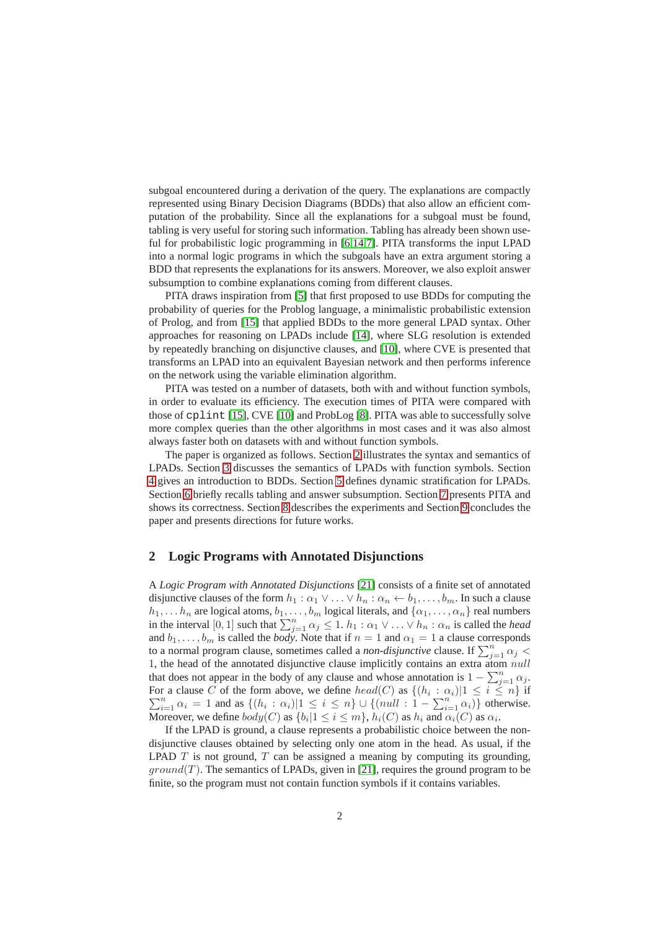subgoal encountered during a derivation of the query. The explanations are compactly represented using Binary Decision Diagrams (BDDs) that also allow an efficient computation of the probability. Since all the explanations for a subgoal must be found, tabling is very useful for storing such information. Tabling has already been shown useful for probabilistic logic programming in [\[6,](#page-14-3)[14](#page-14-4)[,7\]](#page-14-5). PITA transforms the input LPAD into a normal logic programs in which the subgoals have an extra argument storing a BDD that represents the explanations for its answers. Moreover, we also exploit answer subsumption to combine explanations coming from different clauses.

PITA draws inspiration from [\[5\]](#page-14-6) that first proposed to use BDDs for computing the probability of queries for the Problog language, a minimalistic probabilistic extension of Prolog, and from [\[15\]](#page-14-7) that applied BDDs to the more general LPAD syntax. Other approaches for reasoning on LPADs include [\[14\]](#page-14-4), where SLG resolution is extended by repeatedly branching on disjunctive clauses, and [\[10\]](#page-14-8), where CVE is presented that transforms an LPAD into an equivalent Bayesian network and then performs inference on the network using the variable elimination algorithm.

PITA was tested on a number of datasets, both with and without function symbols, in order to evaluate its efficiency. The execution times of PITA were compared with those of cplint [\[15\]](#page-14-7), CVE [\[10\]](#page-14-8) and ProbLog [\[8\]](#page-14-9). PITA was able to successfully solve more complex queries than the other algorithms in most cases and it was also almost always faster both on datasets with and without function symbols.

The paper is organized as follows. Section [2](#page-1-0) illustrates the syntax and semantics of LPADs. Section [3](#page-3-0) discusses the semantics of LPADs with function symbols. Section [4](#page-4-0) gives an introduction to BDDs. Section [5](#page-5-0) defines dynamic stratification for LPADs. Section [6](#page-6-0) briefly recalls tabling and answer subsumption. Section [7](#page-7-0) presents PITA and shows its correctness. Section [8](#page-10-0) describes the experiments and Section [9](#page-13-0) concludes the paper and presents directions for future works.

#### <span id="page-1-0"></span>**2 Logic Programs with Annotated Disjunctions**

A *Logic Program with Annotated Disjunctions* [\[21\]](#page-14-0) consists of a finite set of annotated disjunctive clauses of the form  $h_1 : \alpha_1 \vee \ldots \vee h_n : \alpha_n \leftarrow b_1, \ldots, b_m$ . In such a clause  $h_1, \ldots, h_n$  are logical atoms,  $b_1, \ldots, b_m$  logical literals, and  $\{\alpha_1, \ldots, \alpha_n\}$  real numbers in the interval  $[0, 1]$  such that  $\sum_{j=1}^{n} \alpha_j \leq 1$ .  $h_1 : \alpha_1 \vee \dots \vee h_n : \alpha_n$  is called the *head* and  $b_1, \ldots, b_m$  is called the *body*. Note that if  $n = 1$  and  $\alpha_1 = 1$  a clause corresponds to a normal program clause, sometimes called a *non-disjunctive* clause. If  $\sum_{j=1}^{n} \alpha_j$  < 1, the head of the annotated disjunctive clause implicitly contains an extra atom null that does not appear in the body of any clause and whose annotation is  $1 - \sum_{j=1}^{n} \alpha_j$ . For a clause C of the form above, we define  $head(C)$  as  $\{(h_i : \alpha_i)|1 \leq i \leq n\}$  if  $\sum_{i=1}^n \alpha_i = 1$  and as  $\{(h_i : \alpha_i)|1 \leq i \leq n\} \cup \{(null : 1 - \sum_{i=1}^n \alpha_i)\}$  otherwise. Moreover, we define  $body(C)$  as  $\{b_i|1 \leq i \leq m\}$ ,  $h_i(C)$  as  $h_i$  and  $\alpha_i(C)$  as  $\alpha_i$ .

If the LPAD is ground, a clause represents a probabilistic choice between the nondisjunctive clauses obtained by selecting only one atom in the head. As usual, if the LPAD  $T$  is not ground,  $T$  can be assigned a meaning by computing its grounding,  $ground(T)$ . The semantics of LPADs, given in [\[21\]](#page-14-0), requires the ground program to be finite, so the program must not contain function symbols if it contains variables.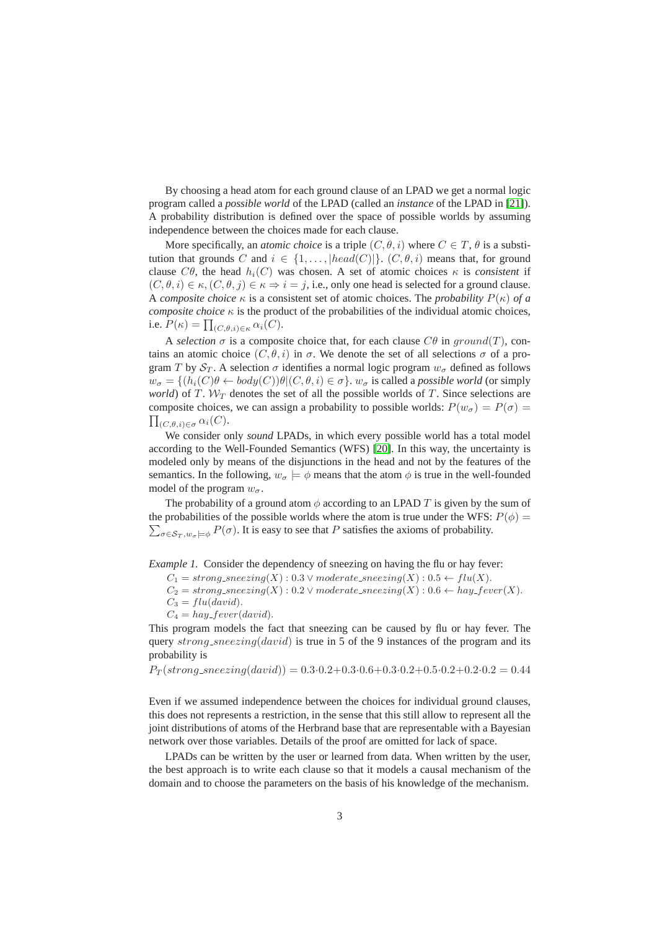By choosing a head atom for each ground clause of an LPAD we get a normal logic program called a *possible world* of the LPAD (called an *instance* of the LPAD in [\[21\]](#page-14-0)). A probability distribution is defined over the space of possible worlds by assuming independence between the choices made for each clause.

More specifically, an *atomic choice* is a triple  $(C, \theta, i)$  where  $C \in T$ ,  $\theta$  is a substitution that grounds C and  $i \in \{1, \ldots, |head(C)|\}$ .  $(C, \theta, i)$  means that, for ground clause  $C\theta$ , the head  $h_i(C)$  was chosen. A set of atomic choices  $\kappa$  is *consistent* if  $(C, \theta, i) \in \kappa$ ,  $(C, \theta, j) \in \kappa \Rightarrow i = j$ , i.e., only one head is selected for a ground clause. A *composite choice*  $\kappa$  is a consistent set of atomic choices. The *probability*  $P(\kappa)$  of a *composite choice*  $\kappa$  is the product of the probabilities of the individual atomic choices, i.e.  $P(\kappa) = \prod_{(C,\theta,i)\in\kappa} \alpha_i(C)$ .

A *selection*  $\sigma$  is a composite choice that, for each clause  $C\theta$  in  $ground(T)$ , contains an atomic choice  $(C, \theta, i)$  in  $\sigma$ . We denote the set of all selections  $\sigma$  of a program T by  $S_T$ . A selection  $\sigma$  identifies a normal logic program  $w_{\sigma}$  defined as follows  $w_{\sigma} = \{(h_i(C)\theta \leftarrow body(C))\theta | (C, \theta, i) \in \sigma\}$ ,  $w_{\sigma}$  is called a *possible world* (or simply *world*) of T.  $W_T$  denotes the set of all the possible worlds of T. Since selections are composite choices, we can assign a probability to possible worlds:  $P(w_{\sigma}) = P(\sigma) =$  $\prod_{(C,\theta,i)\in\sigma}\alpha_i(C).$ 

We consider only *sound* LPADs, in which every possible world has a total model according to the Well-Founded Semantics (WFS) [\[20\]](#page-14-10). In this way, the uncertainty is modeled only by means of the disjunctions in the head and not by the features of the semantics. In the following,  $w_{\sigma} \models \phi$  means that the atom  $\phi$  is true in the well-founded model of the program  $w_{\sigma}$ .

The probability of a ground atom  $\phi$  according to an LPAD T is given by the sum of  $\sum_{\sigma \in S_T, w_{\sigma} \models \phi} P(\sigma)$ . It is easy to see that P satisfies the axioms of probability. the probabilities of the possible worlds where the atom is true under the WFS:  $P(\phi)$  =

<span id="page-2-0"></span>*Example 1.* Consider the dependency of sneezing on having the flu or hay fever:

 $C_1 = strong\text{.}sineezing(X): 0.3 \vee moderate\text{.}sneezing(X): 0.5 \leftarrow flu(X).$ 

 $C_2 = strong\text{.} \text{energy}(X) : 0.2 \vee \text{.} \text{} \text{eta}$   $\text{.} \text{energy}(X) : 0.6 \leftarrow \text{.} \text{figure}(X)$ .

 $C_3 = flu(david).$ 

 $C_4 = hay\_fever(david).$ 

This program models the fact that sneezing can be caused by flu or hay fever. The query  $strong\_sneezing(david)$  is true in 5 of the 9 instances of the program and its probability is

 $P_T(strong\_sneezing(david)) = 0.3 \cdot 0.2 + 0.3 \cdot 0.6 + 0.3 \cdot 0.2 + 0.5 \cdot 0.2 + 0.2 \cdot 0.2 = 0.44$ 

Even if we assumed independence between the choices for individual ground clauses, this does not represents a restriction, in the sense that this still allow to represent all the joint distributions of atoms of the Herbrand base that are representable with a Bayesian network over those variables. Details of the proof are omitted for lack of space.

LPADs can be written by the user or learned from data. When written by the user, the best approach is to write each clause so that it models a causal mechanism of the domain and to choose the parameters on the basis of his knowledge of the mechanism.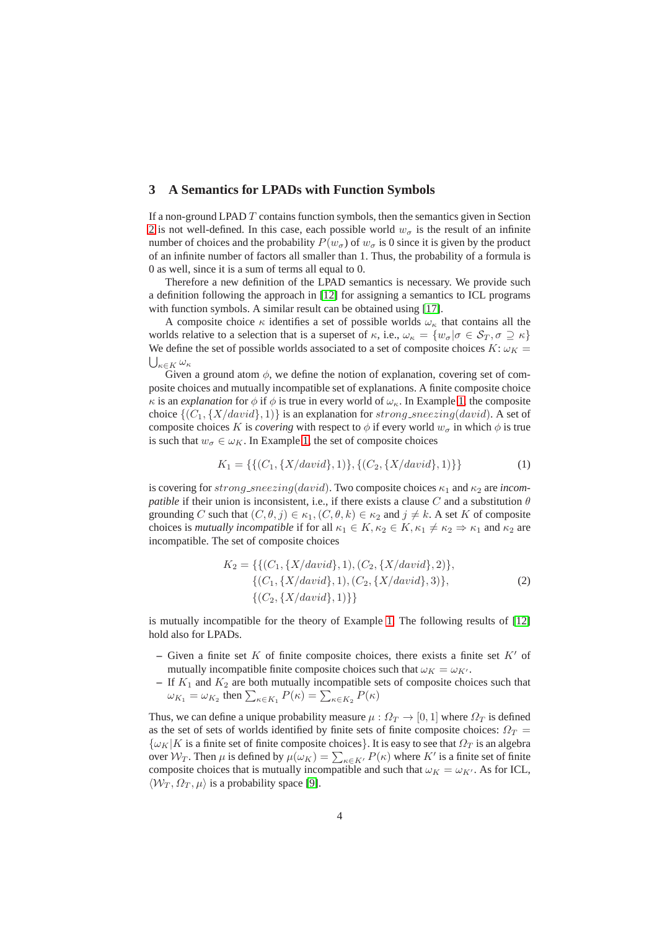# <span id="page-3-0"></span>**3 A Semantics for LPADs with Function Symbols**

If a non-ground LPAD  $T$  contains function symbols, then the semantics given in Section [2](#page-1-0) is not well-defined. In this case, each possible world  $w_{\sigma}$  is the result of an infinite number of choices and the probability  $P(w_{\sigma})$  of  $w_{\sigma}$  is 0 since it is given by the product of an infinite number of factors all smaller than 1. Thus, the probability of a formula is 0 as well, since it is a sum of terms all equal to 0.

Therefore a new definition of the LPAD semantics is necessary. We provide such a definition following the approach in [\[12\]](#page-14-2) for assigning a semantics to ICL programs with function symbols. A similar result can be obtained using [\[17\]](#page-14-1).

A composite choice  $\kappa$  identifies a set of possible worlds  $\omega_{\kappa}$  that contains all the worlds relative to a selection that is a superset of  $\kappa$ , i.e.,  $\omega_{\kappa} = \{w_{\sigma} | \sigma \in S_T, \sigma \supseteq \kappa\}$ We define the set of possible worlds associated to a set of composite choices  $K: \omega_K =$  $\bigcup_{\kappa \in K} \omega_{\kappa}$ 

Given a ground atom  $\phi$ , we define the notion of explanation, covering set of composite choices and mutually incompatible set of explanations. A finite composite choice  $\kappa$  is an *explanation* for  $\phi$  if  $\phi$  is true in every world of  $\omega_{\kappa}$ . In Example [1,](#page-2-0) the composite choice  $\{(C_1, \{X/david\}, 1)\}\$ is an explanation for strong\_sneezing(david). A set of composite choices K is *covering* with respect to  $\phi$  if every world  $w_{\sigma}$  in which  $\phi$  is true is such that  $w_{\sigma} \in \omega_K$ . In Example [1,](#page-2-0) the set of composite choices

<span id="page-3-2"></span>
$$
K_1 = \{ \{ (C_1, \{ X/david \}, 1) \}, \{ (C_2, \{ X/david \}, 1) \} \}
$$
(1)

is covering for  $strong\_sneezing(david)$ . Two composite choices  $\kappa_1$  and  $\kappa_2$  are *incompatible* if their union is inconsistent, i.e., if there exists a clause C and a substitution  $\theta$ grounding C such that  $(C, \theta, j) \in \kappa_1, (C, \theta, k) \in \kappa_2$  and  $j \neq k$ . A set K of composite choices is *mutually incompatible* if for all  $\kappa_1 \in K$ ,  $\kappa_2 \in K$ ,  $\kappa_1 \neq \kappa_2 \Rightarrow \kappa_1$  and  $\kappa_2$  are incompatible. The set of composite choices

<span id="page-3-1"></span>
$$
K_2 = \{ \{ (C_1, \{X/david\}, 1), (C_2, \{X/david\}, 2) \}, \{ (C_1, \{X/david\}, 1), (C_2, \{X/david\}, 3) \}, \{ (C_2, \{X/david\}, 1) \} \}
$$
\n
$$
(2)
$$

is mutually incompatible for the theory of Example [1.](#page-2-0) The following results of [\[12\]](#page-14-2) hold also for LPADs.

- $-$  Given a finite set K of finite composite choices, there exists a finite set K' of mutually incompatible finite composite choices such that  $\omega_K = \omega_{K'}$ .
- $-$  If  $K_1$  and  $K_2$  are both mutually incompatible sets of composite choices such that  $\omega_{K_1} = \omega_{K_2}$  then  $\sum_{\kappa \in K_1} P(\kappa) = \sum_{\kappa \in K_2} P(\kappa)$

Thus, we can define a unique probability measure  $\mu : \Omega_T \to [0, 1]$  where  $\Omega_T$  is defined as the set of sets of worlds identified by finite sets of finite composite choices:  $\Omega_T$  =  ${\{\omega_K|K \text{ is a finite set of finite composite choices}\}}$ . It is easy to see that  $\Omega_T$  is an algebra over  $\mathcal{W}_T$ . Then  $\mu$  is defined by  $\mu(\omega_K) = \sum_{\kappa \in K'} P(\kappa)$  where  $K'$  is a finite set of finite composite choices that is mutually incompatible and such that  $\omega_K = \omega_{K'}$ . As for ICL,  $\langle W_T , \Omega_T , \mu \rangle$  is a probability space [\[9\]](#page-14-11).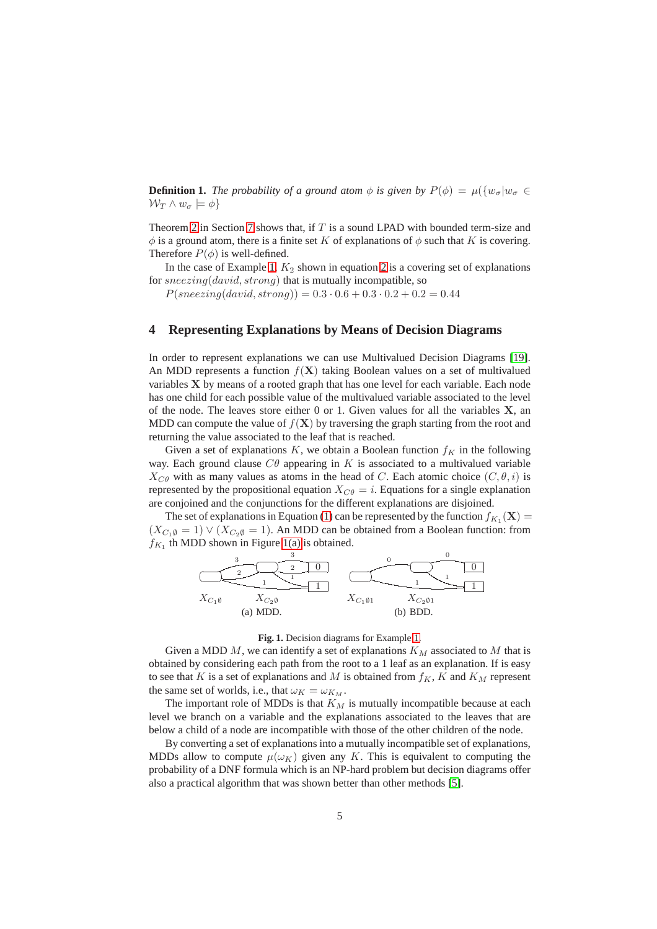**Definition 1.** *The probability of a ground atom*  $\phi$  *is given by*  $P(\phi) = \mu({w_{\sigma}}|w_{\sigma} \in$  $W_T \wedge w_\sigma \models \phi$ 

Theorem [2](#page-10-1) in Section [7](#page-7-0) shows that, if  $T$  is a sound LPAD with bounded term-size and  $\phi$  is a ground atom, there is a finite set K of explanations of  $\phi$  such that K is covering. Therefore  $P(\phi)$  is well-defined.

In the case of Example [1,](#page-2-0)  $K_2$  shown in equation [2](#page-3-1) is a covering set of explanations for  $sneezing(david, strong)$  that is mutually incompatible, so

 $P(sneezing(david, strong)) = 0.3 \cdot 0.6 + 0.3 \cdot 0.2 + 0.2 = 0.44$ 

### <span id="page-4-0"></span>**4 Representing Explanations by Means of Decision Diagrams**

In order to represent explanations we can use Multivalued Decision Diagrams [\[19\]](#page-14-12). An MDD represents a function  $f(X)$  taking Boolean values on a set of multivalued variables X by means of a rooted graph that has one level for each variable. Each node has one child for each possible value of the multivalued variable associated to the level of the node. The leaves store either 0 or 1. Given values for all the variables  $X$ , an MDD can compute the value of  $f(\mathbf{X})$  by traversing the graph starting from the root and returning the value associated to the leaf that is reached.

Given a set of explanations  $K$ , we obtain a Boolean function  $f_K$  in the following way. Each ground clause  $C\theta$  appearing in K is associated to a multivalued variable  $X_{C\theta}$  with as many values as atoms in the head of C. Each atomic choice  $(C, \theta, i)$  is represented by the propositional equation  $X_{C\theta} = i$ . Equations for a single explanation are conjoined and the conjunctions for the different explanations are disjoined.

<span id="page-4-1"></span>The set of explanations in Equation [\(1\)](#page-3-2) can be represented by the function  $f_{K_1}(\mathbf{X}) =$  $(X_{C_1\emptyset} = 1) \vee (X_{C_2\emptyset} = 1)$ . An MDD can be obtained from a Boolean function: from  $f_{K_1}$  th MDD shown in Figure [1\(a\)](#page-4-1) is obtained.



### <span id="page-4-2"></span>**Fig. 1.** Decision diagrams for Example [1.](#page-2-0)

Given a MDD  $M$ , we can identify a set of explanations  $K_M$  associated to  $M$  that is obtained by considering each path from the root to a 1 leaf as an explanation. If is easy to see that K is a set of explanations and M is obtained from  $f_K$ , K and  $K_M$  represent the same set of worlds, i.e., that  $\omega_K = \omega_{K_M}$ .

The important role of MDDs is that  $K_M$  is mutually incompatible because at each level we branch on a variable and the explanations associated to the leaves that are below a child of a node are incompatible with those of the other children of the node.

By converting a set of explanations into a mutually incompatible set of explanations, MDDs allow to compute  $\mu(\omega_K)$  given any K. This is equivalent to computing the probability of a DNF formula which is an NP-hard problem but decision diagrams offer also a practical algorithm that was shown better than other methods [\[5\]](#page-14-6).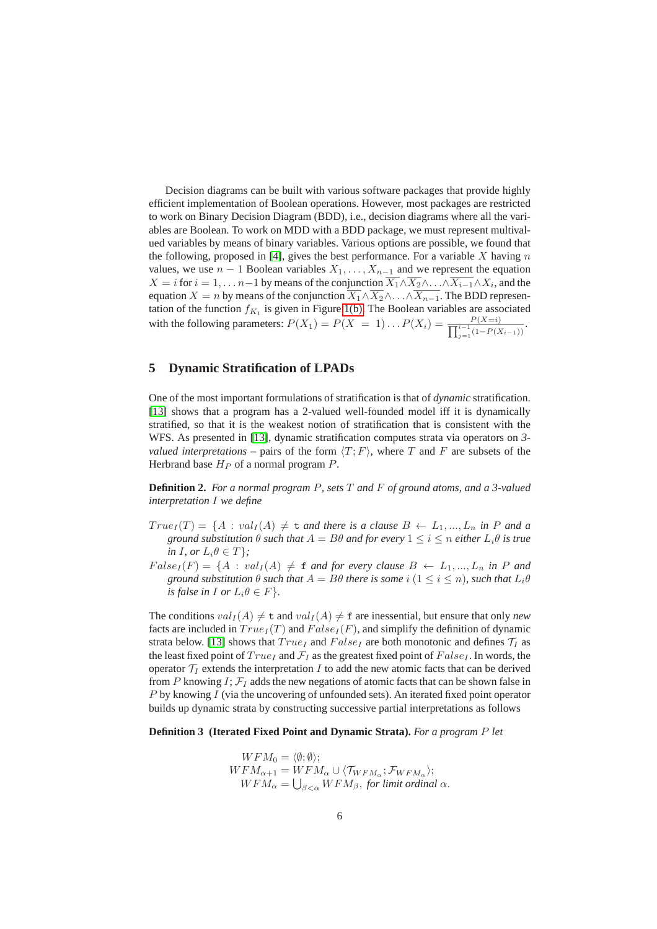Decision diagrams can be built with various software packages that provide highly efficient implementation of Boolean operations. However, most packages are restricted to work on Binary Decision Diagram (BDD), i.e., decision diagrams where all the variables are Boolean. To work on MDD with a BDD package, we must represent multivalued variables by means of binary variables. Various options are possible, we found that the following, proposed in [\[4\]](#page-14-13), gives the best performance. For a variable X having  $n$ values, we use  $n - 1$  Boolean variables  $X_1, \ldots, X_{n-1}$  and we represent the equation  $X = i$  for  $i = 1, \dots n-1$  by means of the conjunction  $X_1 \wedge X_2 \wedge \dots \wedge X_{i-1} \wedge X_i$ , and the equation  $X = n$  by means of the conjunction  $\overline{X_1} \wedge \overline{X_2} \wedge \ldots \wedge \overline{X_{n-1}}$ . The BDD representation of the function  $f_{K_1}$  is given in Figure [1\(b\).](#page-4-2) The Boolean variables are associated with the following parameters:  $P(X_1) = P(X = 1) \dots P(X_i) = \frac{P(X=i)}{\prod_{i=1}^{i-1} (1-P(X_i))}$  $\frac{P(X=i)}{i-1(1-P(X_{i-1}))}$ .

# <span id="page-5-0"></span>**5 Dynamic Stratification of LPADs**

One of the most important formulations of stratification is that of *dynamic* stratification. [\[13\]](#page-14-14) shows that a program has a 2-valued well-founded model iff it is dynamically stratified, so that it is the weakest notion of stratification that is consistent with the WFS. As presented in [\[13\]](#page-14-14), dynamic stratification computes strata via operators on *3 valued interpretations* – pairs of the form  $\langle T; F \rangle$ , where T and F are subsets of the Herbrand base  $H_P$  of a normal program  $P$ .

<span id="page-5-1"></span>**Definition 2.** *For a normal program* P*, sets* T *and* F *of ground atoms, and a 3-valued interpretation* I *we define*

- $True<sub>I</sub>(T) = \{A : val<sub>I</sub>(A) \neq t \text{ and there is a clause } B \leftarrow L_1, ..., L_n \text{ in } P \text{ and } a$ *ground substitution*  $\theta$  *such that*  $A = B\theta$  *and for every*  $1 \leq i \leq n$  *either*  $L_i\theta$  *is true in I, or*  $L_i \theta \in T$ *}*;
- $False_I(F) = \{A : val_I(A) \neq \text{f} \text{ and for every clause } B \leftarrow L_1, ..., L_n \text{ in } P \text{ and }$ *ground substitution*  $\theta$  *such that*  $A = B\theta$  *there is some*  $i$  ( $1 \leq i \leq n$ )*, such that*  $L_i\theta$ *is false in I or*  $L_i \theta \in F$ *}.*

The conditions  $val_I(A) \neq t$  and  $val_I(A) \neq t$  are inessential, but ensure that only *new* facts are included in  $True_{I}(T)$  and  $False_{I}(F)$ , and simplify the definition of dynamic strata below. [\[13\]](#page-14-14) shows that  $True<sub>I</sub>$  and  $False<sub>I</sub>$  are both monotonic and defines  $\mathcal{T}_I$  as the least fixed point of  $True<sub>I</sub>$  and  $\mathcal{F}<sub>I</sub>$  as the greatest fixed point of  $False<sub>I</sub>$ . In words, the operator  $\mathcal{T}_I$  extends the interpretation  $I$  to add the new atomic facts that can be derived from P knowing I;  $\mathcal{F}_I$  adds the new negations of atomic facts that can be shown false in  $P$  by knowing  $I$  (via the uncovering of unfounded sets). An iterated fixed point operator builds up dynamic strata by constructing successive partial interpretations as follows

**Definition 3 (Iterated Fixed Point and Dynamic Strata).** *For a program* P *let*

$$
WFM_0 = \langle \emptyset; \emptyset \rangle;
$$
  
\n
$$
WFM_{\alpha+1} = WFM_{\alpha} \cup \langle \mathcal{T}_{WFM_{\alpha}}; \mathcal{F}_{WFM_{\alpha}} \rangle;
$$
  
\n
$$
WFM_{\alpha} = \bigcup_{\beta < \alpha} WFM_{\beta}, \text{ for limit ordinal } \alpha.
$$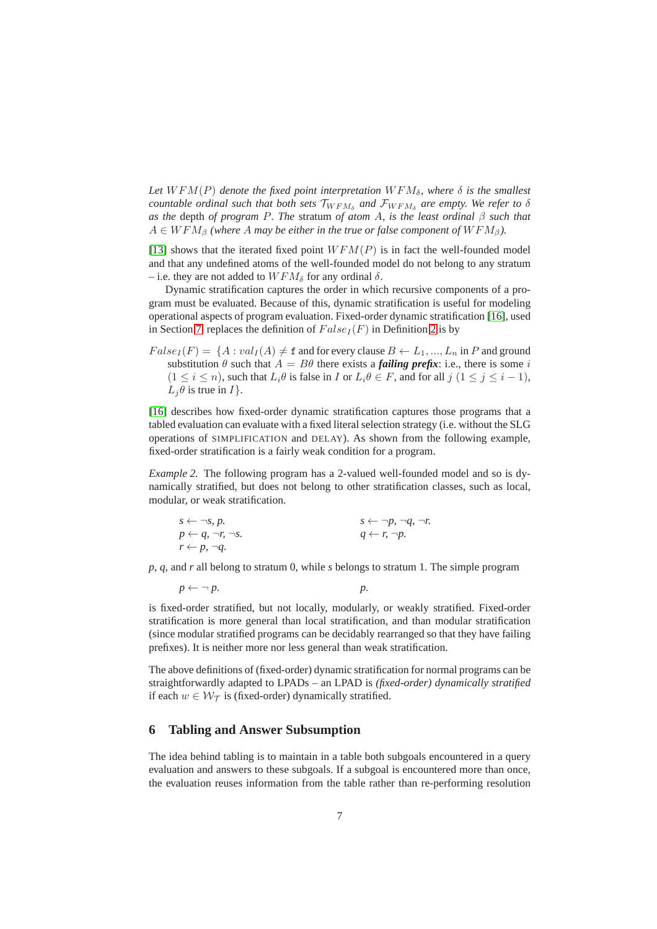Let  $WFM(P)$  *denote the fixed point interpretation*  $WFM_{\delta}$ *, where*  $\delta$  *is the smallest countable ordinal such that both sets*  $\mathcal{T}_{WFM_{\delta}}$  and  $\mathcal{F}_{WFM_{\delta}}$  are empty. We refer to  $\delta$ *as the* depth *of program* P*. The* stratum *of atom* A*, is the least ordinal* β *such that*  $A \in WFM<sub>\beta</sub>$  *(where A may be either in the true or false component of*  $WFM<sub>\beta</sub>$ *).* 

[\[13\]](#page-14-14) shows that the iterated fixed point  $WFM(P)$  is in fact the well-founded model and that any undefined atoms of the well-founded model do not belong to any stratum – i.e. they are not added to  $WFM_{\delta}$  for any ordinal  $\delta$ .

Dynamic stratification captures the order in which recursive components of a program must be evaluated. Because of this, dynamic stratification is useful for modeling operational aspects of program evaluation. Fixed-order dynamic stratification [\[16\]](#page-14-15), used in Section [7,](#page-7-0) replaces the definition of  $False_I(F)$  in Definition [2](#page-5-1) is by

 $False_I(F) = \{A : val_I(A) \neq \texttt{f} \text{ and for every clause } B \leftarrow L_1, ..., L_n \text{ in } P \text{ and ground }$ substitution  $\theta$  such that  $A = B\theta$  there exists a *failing prefix*: i.e., there is some i  $(1 \le i \le n)$ , such that  $L_i \theta$  is false in I or  $L_i \theta \in F$ , and for all  $j$   $(1 \le j \le i - 1)$ ,  $L_i \theta$  is true in  $I$ .

[\[16\]](#page-14-15) describes how fixed-order dynamic stratification captures those programs that a tabled evaluation can evaluate with a fixed literal selection strategy (i.e. without the SLG operations of SIMPLIFICATION and DELAY). As shown from the following example, fixed-order stratification is a fairly weak condition for a program.

*Example 2.* The following program has a 2-valued well-founded model and so is dynamically stratified, but does not belong to other stratification classes, such as local, modular, or weak stratification.

| $s \leftarrow \neg s, p.$                | $s \leftarrow \neg p, \neg q, \neg r$ |
|------------------------------------------|---------------------------------------|
| $p \leftarrow q$ , $\neg r$ , $\neg s$ . | $q \leftarrow r$ , $\neg p$ .         |
| $r \leftarrow p, \neg q.$                |                                       |

*p*, *q*, and *r* all belong to stratum 0, while *s* belongs to stratum 1. The simple program

$$
p \leftarrow \neg p. \qquad p.
$$

is fixed-order stratified, but not locally, modularly, or weakly stratified. Fixed-order stratification is more general than local stratification, and than modular stratification (since modular stratified programs can be decidably rearranged so that they have failing prefixes). It is neither more nor less general than weak stratification.

The above definitions of (fixed-order) dynamic stratification for normal programs can be straightforwardly adapted to LPADs – an LPAD is *(fixed-order) dynamically stratified* if each  $w \in \mathcal{W}_{\mathcal{T}}$  is (fixed-order) dynamically stratified.

### <span id="page-6-0"></span>**6 Tabling and Answer Subsumption**

The idea behind tabling is to maintain in a table both subgoals encountered in a query evaluation and answers to these subgoals. If a subgoal is encountered more than once, the evaluation reuses information from the table rather than re-performing resolution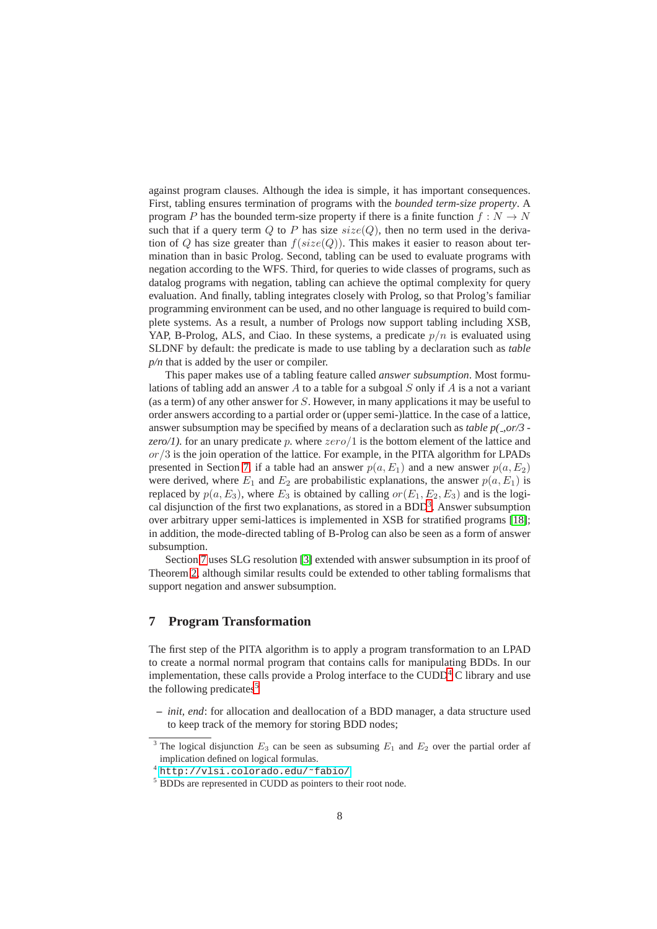against program clauses. Although the idea is simple, it has important consequences. First, tabling ensures termination of programs with the *bounded term-size property*. A program P has the bounded term-size property if there is a finite function  $f : N \to N$ such that if a query term  $Q$  to P has size  $size(Q)$ , then no term used in the derivation of Q has size greater than  $f(size(Q))$ . This makes it easier to reason about termination than in basic Prolog. Second, tabling can be used to evaluate programs with negation according to the WFS. Third, for queries to wide classes of programs, such as datalog programs with negation, tabling can achieve the optimal complexity for query evaluation. And finally, tabling integrates closely with Prolog, so that Prolog's familiar programming environment can be used, and no other language is required to build complete systems. As a result, a number of Prologs now support tabling including XSB, YAP, B-Prolog, ALS, and Ciao. In these systems, a predicate  $p/n$  is evaluated using SLDNF by default: the predicate is made to use tabling by a declaration such as *table p/n* that is added by the user or compiler.

This paper makes use of a tabling feature called *answer subsumption*. Most formulations of tabling add an answer A to a table for a subgoal  $S$  only if A is a not a variant (as a term) of any other answer for S. However, in many applications it may be useful to order answers according to a partial order or (upper semi-)lattice. In the case of a lattice, answer subsumption may be specified by means of a declaration such as *table p( ,or/3 zero/1)*. for an unary predicate p. where  $zero/1$  is the bottom element of the lattice and  $or/3$  is the join operation of the lattice. For example, in the PITA algorithm for LPADs presented in Section [7,](#page-7-0) if a table had an answer  $p(a, E_1)$  and a new answer  $p(a, E_2)$ were derived, where  $E_1$  and  $E_2$  are probabilistic explanations, the answer  $p(a, E_1)$  is replaced by  $p(a, E_3)$ , where  $E_3$  is obtained by calling  $or(E_1, E_2, E_3)$  and is the logical disjunction of the first two explanations, as stored in a  $BDD<sup>3</sup>$  $BDD<sup>3</sup>$  $BDD<sup>3</sup>$ . Answer subsumption over arbitrary upper semi-lattices is implemented in XSB for stratified programs [\[18\]](#page-14-16); in addition, the mode-directed tabling of B-Prolog can also be seen as a form of answer subsumption.

Section [7](#page-9-0) uses SLG resolution [\[3\]](#page-14-17) extended with answer subsumption in its proof of Theorem [2,](#page-10-1) although similar results could be extended to other tabling formalisms that support negation and answer subsumption.

# <span id="page-7-0"></span>**7 Program Transformation**

The first step of the PITA algorithm is to apply a program transformation to an LPAD to create a normal normal program that contains calls for manipulating BDDs. In our implementation, these calls provide a Prolog interface to the  $\text{CUDD}^4$  $\text{CUDD}^4$  C library and use the following predicates<sup>[5](#page-7-3)</sup>

**–** *init, end*: for allocation and deallocation of a BDD manager, a data structure used to keep track of the memory for storing BDD nodes;

<sup>&</sup>lt;sup>3</sup> The logical disjunction  $E_3$  can be seen as subsuming  $E_1$  and  $E_2$  over the partial order af implication defined on logical formulas.

<span id="page-7-1"></span><sup>4</sup> [http://vlsi.colorado.edu/˜fabio/](http://vlsi.colorado.edu/~fabio/)

<span id="page-7-3"></span><span id="page-7-2"></span><sup>&</sup>lt;sup>5</sup> BDDs are represented in CUDD as pointers to their root node.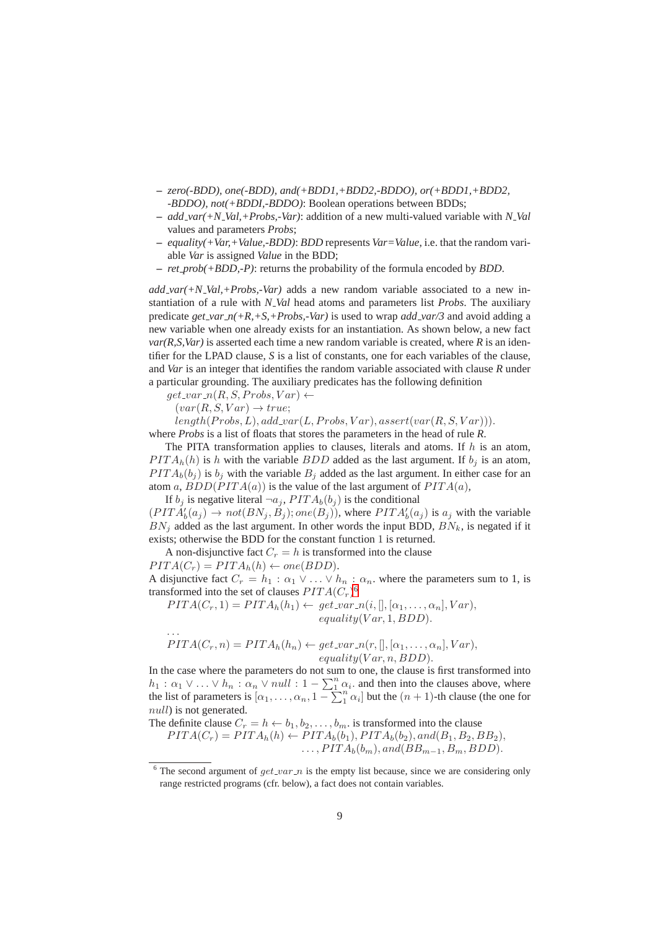- **–** *zero(-BDD), one(-BDD), and(+BDD1,+BDD2,-BDDO), or(+BDD1,+BDD2, -BDDO), not(+BDDI,-BDDO)*: Boolean operations between BDDs;
- **–** *add var(+N Val,+Probs,-Var)*: addition of a new multi-valued variable with *N Val* values and parameters *Probs*;
- **–** *equality(+Var,+Value,-BDD)*: *BDD* represents *Var=Value*, i.e. that the random variable *Var* is assigned *Value* in the BDD;
- **–** *ret prob(+BDD,-P)*: returns the probability of the formula encoded by *BDD*.

*add var(+N Val,+Probs,-Var)* adds a new random variable associated to a new instantiation of a rule with *N Val* head atoms and parameters list *Probs*. The auxiliary predicate *get\_var\_n*(+R,+S,+Probs,-Var) is used to wrap *add\_var*/3 and avoid adding a new variable when one already exists for an instantiation. As shown below, a new fact  $var(R, S, Var)$  is asserted each time a new random variable is created, where  $R$  is an identifier for the LPAD clause, *S* is a list of constants, one for each variables of the clause, and *Var* is an integer that identifies the random variable associated with clause *R* under a particular grounding. The auxiliary predicates has the following definition

 $get\_var_n(R, S, Probs, Var) \leftarrow$ 

 $(var(R, S, Var) \rightarrow true;$ 

 $length(Probs, L), add\_var(L, Probs, Var), assert(var(R, S, Var)).$ 

where *Probs* is a list of floats that stores the parameters in the head of rule *R*.

The PITA transformation applies to clauses, literals and atoms. If  $h$  is an atom,  $PITA<sub>h</sub>(h)$  is h with the variable BDD added as the last argument. If  $b<sub>j</sub>$  is an atom,  $PITA_b(b_i)$  is  $b_i$  with the variable  $B_i$  added as the last argument. In either case for an atom a,  $BDD(PITA(a))$  is the value of the last argument of  $PITA(a)$ ,

If  $b_i$  is negative literal  $\lnot a_i$ ,  $PITA_b(b_i)$  is the conditional

 $(PITA'_b(a_j) \rightarrow not(BN_j, B_j); one(B_j)),$  where  $PITA'_b(a_j)$  is  $a_j$  with the variable  $BN_i$  added as the last argument. In other words the input BDD,  $BN_k$ , is negated if it exists; otherwise the BDD for the constant function 1 is returned.

A non-disjunctive fact  $C_r = h$  is transformed into the clause

 $PITA(C_r) = PITA_h(h) \leftarrow one(BDD).$ 

. . .

A disjunctive fact  $C_r = h_1 : \alpha_1 \vee \ldots \vee h_n : \alpha_n$  where the parameters sum to 1, is transformed into the set of clauses  $PITA(C<sub>r</sub>)<sup>6</sup>$  $PITA(C<sub>r</sub>)<sup>6</sup>$  $PITA(C<sub>r</sub>)<sup>6</sup>$ 

 $PITA(C_r, 1) = PITA_h(h_1) \leftarrow get\_var[n(i, [], [\alpha_1, \ldots, \alpha_n], Var),$  $equality(Var, 1, BDD).$ 

$$
PITA(C_r, n) = PITA_h(h_n) \leftarrow get\_var_n(r,[], [\alpha_1, ..., \alpha_n], Var),
$$
  
equality(Var, n, BDD).

In the case where the parameters do not sum to one, the clause is first transformed into  $h_1: \alpha_1 \vee \ldots \vee h_n: \alpha_n \vee null: 1 - \sum_{i=1}^n \alpha_i$  and then into the clauses above, where the list of parameters is  $[\alpha_1, \ldots, \alpha_n, 1 - \sum_{i=1}^{n} \alpha_i]$  but the  $(n + 1)$ -th clause (the one for null) is not generated.

The definite clause  $C_r = h \leftarrow b_1, b_2, \dots, b_m$ . is transformed into the clause

 $PITA(C_r) = PITA_h(h) \leftarrow PITA_b(b_1), PITA_b(b_2), and (B_1, B_2, BB_2),$  $\ldots$ ,  $PITA_b(b_m)$ , and( $BB_{m-1}$ ,  $B_m$ ,  $BDD$ ).

<span id="page-8-0"></span><sup>&</sup>lt;sup>6</sup> The second argument of  $get\_var_n$  is the empty list because, since we are considering only range restricted programs (cfr. below), a fact does not contain variables.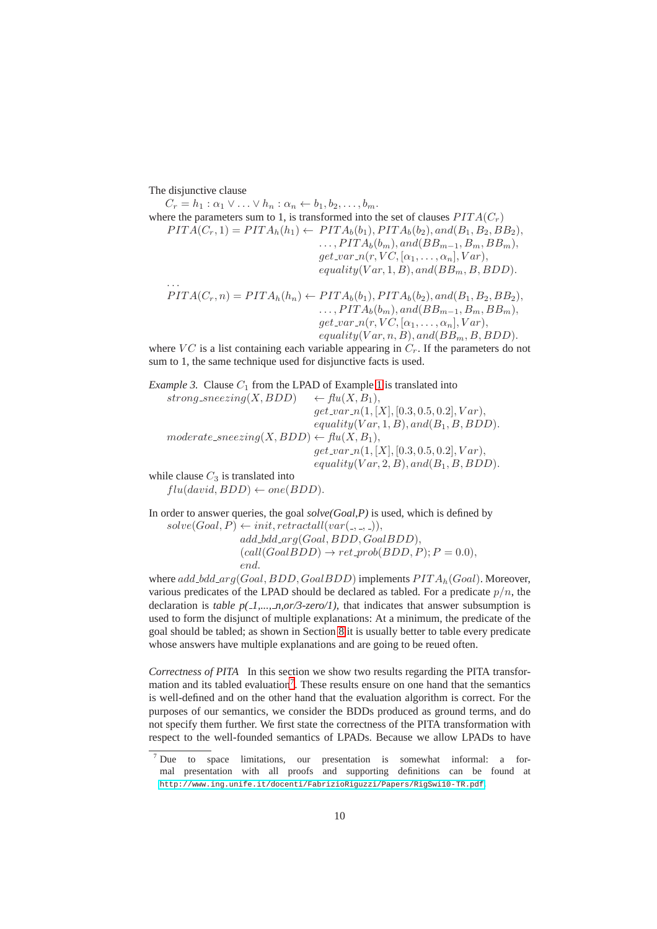The disjunctive clause

 $C_r = h_1 : \alpha_1 \vee \ldots \vee h_n : \alpha_n \leftarrow b_1, b_2, \ldots, b_m.$ where the parameters sum to 1, is transformed into the set of clauses  $PITA(C_r)$  $PITA(C_r, 1) = PITA_h(h_1) \leftarrow PITA_b(b_1), PITA_b(b_2), and (B_1, B_2, BB_2),$  $\ldots, PITA_b(b_m), and (BB_{m-1}, B_m, BB_m),$  $get\_var_n(r, VC, [\alpha_1, \ldots, \alpha_n], Var),$  $equality(Var, 1, B), and (BB<sub>m</sub>, B, BDD).$ . . .  $PITA(C_r, n) = PITA_h(h_n) \leftarrow PITA_b(b_1), PITA_b(b_2), and (B_1, B_2, BB_2),$  $\ldots$ ,  $PITA_b(b_m)$ , and( $BB_{m-1}$ ,  $B_m$ ,  $BB_m$ ),  $get\_var_n(r, VC, [\alpha_1, \ldots, \alpha_n], Var),$  $equality(Var, n, B), and (BB<sub>m</sub>, B, BDD).$ 

where  $VC$  is a list containing each variable appearing in  $C_r$ . If the parameters do not sum to 1, the same technique used for disjunctive facts is used.

*Example 3.* Clause  $C_1$  from the LPAD of Example [1](#page-2-0) is translated into strong\_sneezing(X, BDD)  $\leftarrow$  flu(X, B<sub>1</sub>),  $get\_var_n(1, [X], [0.3, 0.5, 0.2], Var),$  $equality(Var, 1, B), and (B<sub>1</sub>, B, BDD).$  $moderate\_sneezing(X,BDD) \leftarrow flu(X, B_1),$  $get\_var_n(1, [X], [0.3, 0.5, 0.2], Var),$  $equality(Var, 2, B), and (B<sub>1</sub>, B, BDD).$ while clause  $C_3$  is translated into  $flu(david, BDD) \leftarrow one(BDD).$ 

In order to answer queries, the goal *solve(Goal,P)* is used, which is defined by  $solve(Goal, P) \leftarrow init, retractall(var(\_,\_,\_,\_)).$ add bdd arg(Goal, BDD, GoalBDD),  $(call(GoalBDD) \rightarrow ret\_prob(BDD, P); P = 0.0),$ end.

where  $add\_bdd\_arg(Goal, BDD, GoalBDD)$  implements  $PITA_h(Goal)$ . Moreover, various predicates of the LPAD should be declared as tabled. For a predicate  $p/n$ , the declaration is *table*  $p(\textit{1}, \textit{1}, \textit{1}, \textit{1}, \textit{1}, \textit{1})$ , that indicates that answer subsumption is used to form the disjunct of multiple explanations: At a minimum, the predicate of the goal should be tabled; as shown in Section [8](#page-10-0) it is usually better to table every predicate whose answers have multiple explanations and are going to be reued often.

<span id="page-9-0"></span>*Correctness of PITA* In this section we show two results regarding the PITA transfor-mation and its tabled evaluation<sup>[7](#page-9-1)</sup>. These results ensure on one hand that the semantics is well-defined and on the other hand that the evaluation algorithm is correct. For the purposes of our semantics, we consider the BDDs produced as ground terms, and do not specify them further. We first state the correctness of the PITA transformation with respect to the well-founded semantics of LPADs. Because we allow LPADs to have

<span id="page-9-1"></span><sup>7</sup> Due to space limitations, our presentation is somewhat informal: a formal presentation with all proofs and supporting definitions can be found at <http://www.ing.unife.it/docenti/FabrizioRiguzzi/Papers/RigSwi10-TR.pdf>.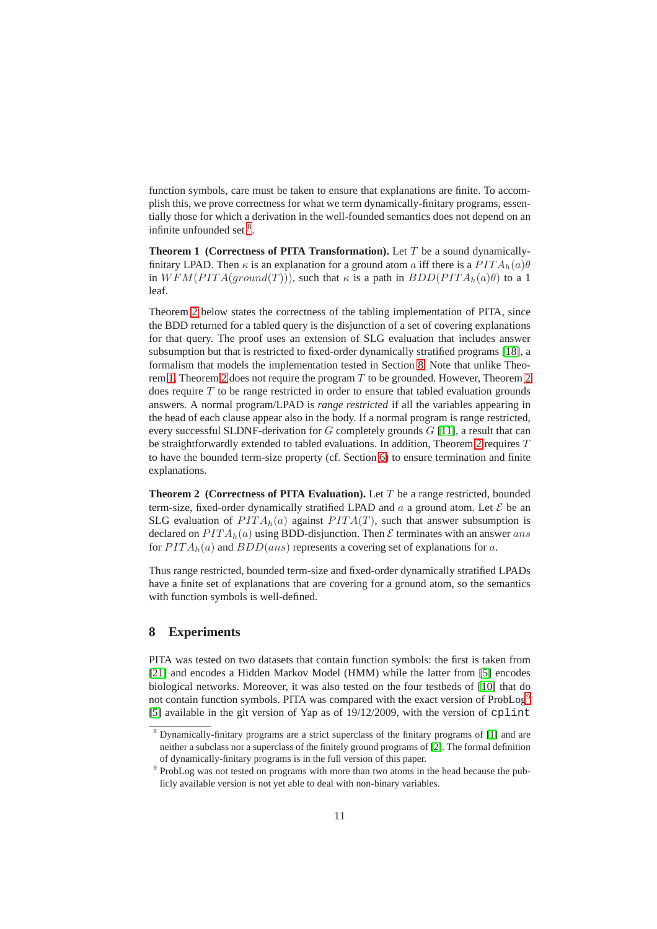function symbols, care must be taken to ensure that explanations are finite. To accomplish this, we prove correctness for what we term dynamically-finitary programs, essentially those for which a derivation in the well-founded semantics does not depend on an infinite unfounded set <sup>[8](#page-10-2)</sup>.

<span id="page-10-3"></span>**Theorem 1 (Correctness of PITA Transformation).** Let  $T$  be a sound dynamicallyfinitary LPAD. Then  $\kappa$  is an explanation for a ground atom a iff there is a  $PITA_h(a)\theta$ in  $WFM(PITA(ground(T)))$ , such that  $\kappa$  is a path in  $BDD(PITA_h(a)\theta)$  to a 1 leaf.

Theorem [2](#page-10-1) below states the correctness of the tabling implementation of PITA, since the BDD returned for a tabled query is the disjunction of a set of covering explanations for that query. The proof uses an extension of SLG evaluation that includes answer subsumption but that is restricted to fixed-order dynamically stratified programs [\[18\]](#page-14-16), a formalism that models the implementation tested in Section [8.](#page-10-0) Note that unlike Theo-rem [1,](#page-10-3) Theorem [2](#page-10-1) does not require the program  $T$  to be grounded. However, Theorem 2 does require  $T$  to be range restricted in order to ensure that tabled evaluation grounds answers. A normal program/LPAD is *range restricted* if all the variables appearing in the head of each clause appear also in the body. If a normal program is range restricted, every successful SLDNF-derivation for  $G$  completely grounds  $G$  [\[11\]](#page-14-18), a result that can be straightforwardly extended to tabled evaluations. In addition, Theorem [2](#page-10-1) requires  $T$ to have the bounded term-size property (cf. Section [6\)](#page-6-0) to ensure termination and finite explanations.

<span id="page-10-1"></span>**Theorem 2 (Correctness of PITA Evaluation).** Let  $T$  be a range restricted, bounded term-size, fixed-order dynamically stratified LPAD and  $a$  a ground atom. Let  $\mathcal E$  be an SLG evaluation of  $PITA<sub>h</sub>(a)$  against  $PITA(T)$ , such that answer subsumption is declared on  $PITA_h(a)$  using BDD-disjunction. Then  $\mathcal E$  terminates with an answer ans for  $PITA<sub>h</sub>(a)$  and  $BDD(ans)$  represents a covering set of explanations for a.

Thus range restricted, bounded term-size and fixed-order dynamically stratified LPADs have a finite set of explanations that are covering for a ground atom, so the semantics with function symbols is well-defined.

# <span id="page-10-0"></span>**8 Experiments**

PITA was tested on two datasets that contain function symbols: the first is taken from [\[21\]](#page-14-0) and encodes a Hidden Markov Model (HMM) while the latter from [\[5\]](#page-14-6) encodes biological networks. Moreover, it was also tested on the four testbeds of [\[10\]](#page-14-8) that do not contain function symbols. PITA was compared with the exact version of ProbLog<sup>[9](#page-10-4)</sup> [\[5\]](#page-14-6) available in the git version of Yap as of 19/12/2009, with the version of cplint

<span id="page-10-2"></span><sup>8</sup> Dynamically-finitary programs are a strict superclass of the finitary programs of [\[1\]](#page-14-19) and are neither a subclass nor a superclass of the finitely ground programs of [\[2\]](#page-14-20). The formal definition of dynamically-finitary programs is in the full version of this paper.

<span id="page-10-4"></span><sup>&</sup>lt;sup>9</sup> ProbLog was not tested on programs with more than two atoms in the head because the publicly available version is not yet able to deal with non-binary variables.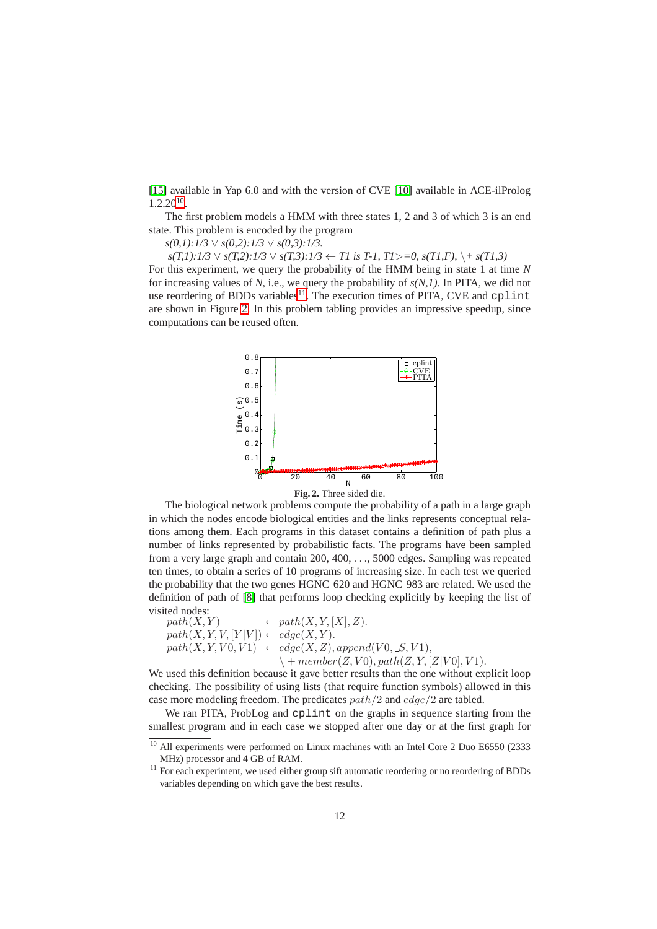[\[15\]](#page-14-7) available in Yap 6.0 and with the version of CVE [\[10\]](#page-14-8) available in ACE-ilProlog 1.2.20[10](#page-11-0) .

The first problem models a HMM with three states 1, 2 and 3 of which 3 is an end state. This problem is encoded by the program

*s(0,1):1/3* ∨ *s(0,2):1/3* ∨ *s(0,3):1/3.*

*s(T,1):1/3* ∨ *s(T,2):1/3* ∨ *s(T,3):1/3* ← *T1 is T-1, T1*>*=0, s(T1,F),* \*+ s(T1,3)*

For this experiment, we query the probability of the HMM being in state 1 at time *N* for increasing values of  $N$ , i.e., we query the probability of  $s(N,1)$ . In PITA, we did not use reordering of BDDs variables<sup>[11](#page-11-1)</sup>. The execution times of PITA, CVE and cplint are shown in Figure [2.](#page-11-2) In this problem tabling provides an impressive speedup, since computations can be reused often.



<span id="page-11-2"></span>

The biological network problems compute the probability of a path in a large graph in which the nodes encode biological entities and the links represents conceptual relations among them. Each programs in this dataset contains a definition of path plus a number of links represented by probabilistic facts. The programs have been sampled from a very large graph and contain 200, 400, . . ., 5000 edges. Sampling was repeated ten times, to obtain a series of 10 programs of increasing size. In each test we queried the probability that the two genes HGNC 620 and HGNC 983 are related. We used the definition of path of [\[8\]](#page-14-9) that performs loop checking explicitly by keeping the list of visited nodes:

 $path(X, Y) \leftarrow path(X, Y, [X], Z).$  $path(X, Y, V, [Y|V]) \leftarrow edge(X, Y).$  $path(X, Y, V0, V1) \leftarrow edge(X, Z), append(V0, S, V1),$  $\setminus + member(Z, V0), path(Z, Y, [Z|V0], V1).$ 

We used this definition because it gave better results than the one without explicit loop checking. The possibility of using lists (that require function symbols) allowed in this case more modeling freedom. The predicates  $path/2$  and  $edge/2$  are tabled.

We ran PITA, ProbLog and cplint on the graphs in sequence starting from the smallest program and in each case we stopped after one day or at the first graph for

 $\frac{10}{10}$  All experiments were performed on Linux machines with an Intel Core 2 Duo E6550 (2333) MHz) processor and 4 GB of RAM.

<span id="page-11-1"></span><span id="page-11-0"></span><sup>&</sup>lt;sup>11</sup> For each experiment, we used either group sift automatic reordering or no reordering of BDDs variables depending on which gave the best results.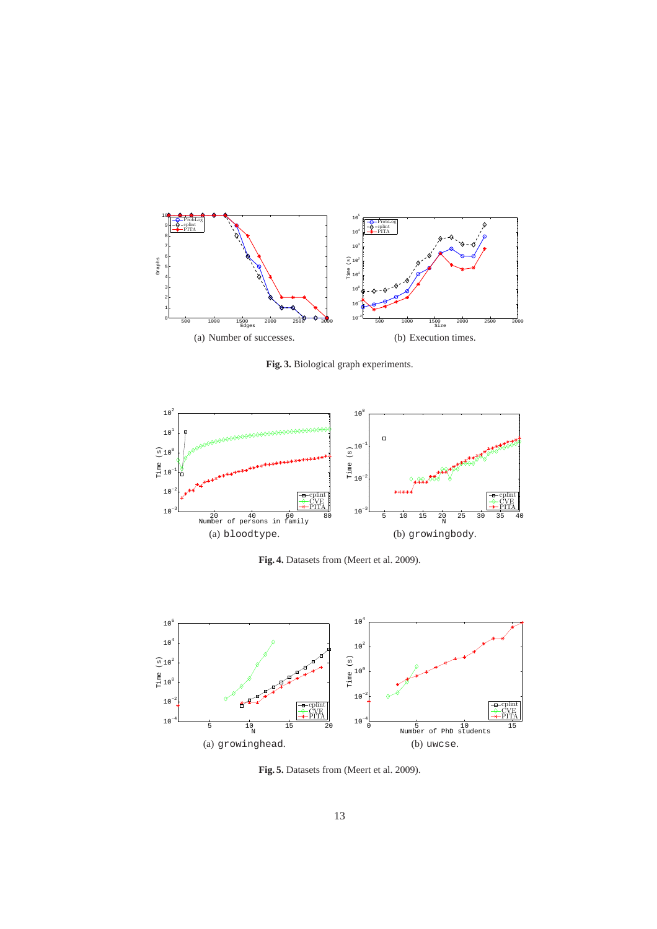<span id="page-12-0"></span>

<span id="page-12-1"></span>**Fig. 3.** Biological graph experiments.

<span id="page-12-2"></span>

<span id="page-12-3"></span>**Fig. 4.** Datasets from (Meert et al. 2009).

<span id="page-12-4"></span>

<span id="page-12-5"></span>**Fig. 5.** Datasets from (Meert et al. 2009).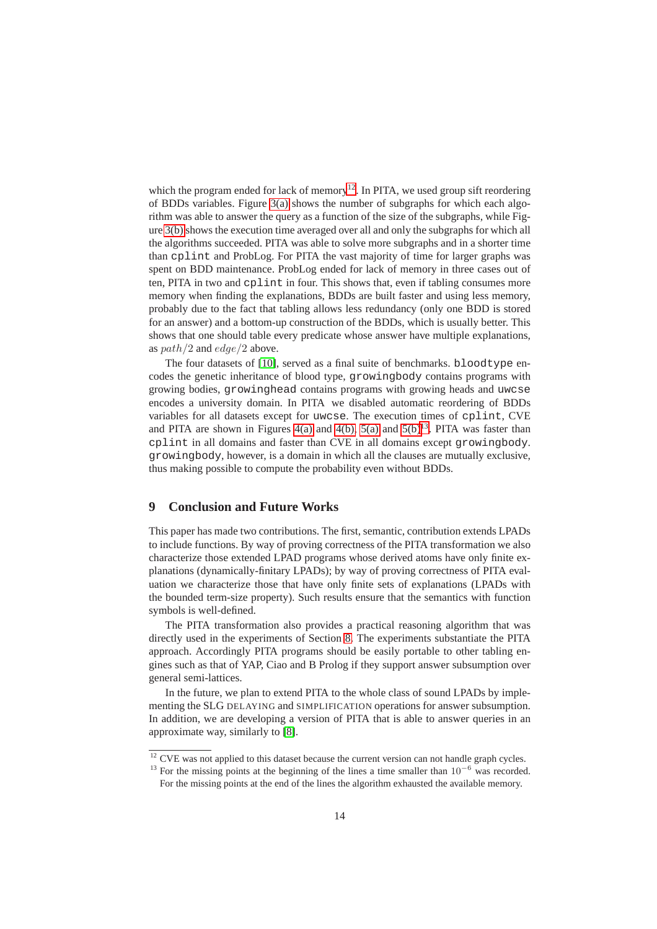which the program ended for lack of memory<sup>[12](#page-13-1)</sup>. In PITA, we used group sift reordering of BDDs variables. Figure [3\(a\)](#page-12-0) shows the number of subgraphs for which each algorithm was able to answer the query as a function of the size of the subgraphs, while Figure [3\(b\)](#page-12-1) shows the execution time averaged over all and only the subgraphs for which all the algorithms succeeded. PITA was able to solve more subgraphs and in a shorter time than cplint and ProbLog. For PITA the vast majority of time for larger graphs was spent on BDD maintenance. ProbLog ended for lack of memory in three cases out of ten, PITA in two and cplint in four. This shows that, even if tabling consumes more memory when finding the explanations, BDDs are built faster and using less memory, probably due to the fact that tabling allows less redundancy (only one BDD is stored for an answer) and a bottom-up construction of the BDDs, which is usually better. This shows that one should table every predicate whose answer have multiple explanations, as  $path/2$  and  $edge/2$  above.

The four datasets of [\[10\]](#page-14-8), served as a final suite of benchmarks. bloodtype encodes the genetic inheritance of blood type, growingbody contains programs with growing bodies, growinghead contains programs with growing heads and uwcse encodes a university domain. In PITA we disabled automatic reordering of BDDs variables for all datasets except for uwcse. The execution times of cplint, CVE and PITA are shown in Figures [4\(a\)](#page-12-2) and [4\(b\),](#page-12-3) [5\(a\)](#page-12-4) and [5\(b\)](#page-12-5)<sup>[13](#page-13-2)</sup>. PITA was faster than cplint in all domains and faster than CVE in all domains except growingbody. growingbody, however, is a domain in which all the clauses are mutually exclusive, thus making possible to compute the probability even without BDDs.

# <span id="page-13-0"></span>**9 Conclusion and Future Works**

This paper has made two contributions. The first, semantic, contribution extends LPADs to include functions. By way of proving correctness of the PITA transformation we also characterize those extended LPAD programs whose derived atoms have only finite explanations (dynamically-finitary LPADs); by way of proving correctness of PITA evaluation we characterize those that have only finite sets of explanations (LPADs with the bounded term-size property). Such results ensure that the semantics with function symbols is well-defined.

The PITA transformation also provides a practical reasoning algorithm that was directly used in the experiments of Section [8.](#page-10-0) The experiments substantiate the PITA approach. Accordingly PITA programs should be easily portable to other tabling engines such as that of YAP, Ciao and B Prolog if they support answer subsumption over general semi-lattices.

In the future, we plan to extend PITA to the whole class of sound LPADs by implementing the SLG DELAYING and SIMPLIFICATION operations for answer subsumption. In addition, we are developing a version of PITA that is able to answer queries in an approximate way, similarly to [\[8\]](#page-14-9).

 $\frac{12}{12}$  CVE was not applied to this dataset because the current version can not handle graph cycles.

<span id="page-13-2"></span><span id="page-13-1"></span><sup>&</sup>lt;sup>13</sup> For the missing points at the beginning of the lines a time smaller than  $10^{-6}$  was recorded. For the missing points at the end of the lines the algorithm exhausted the available memory.